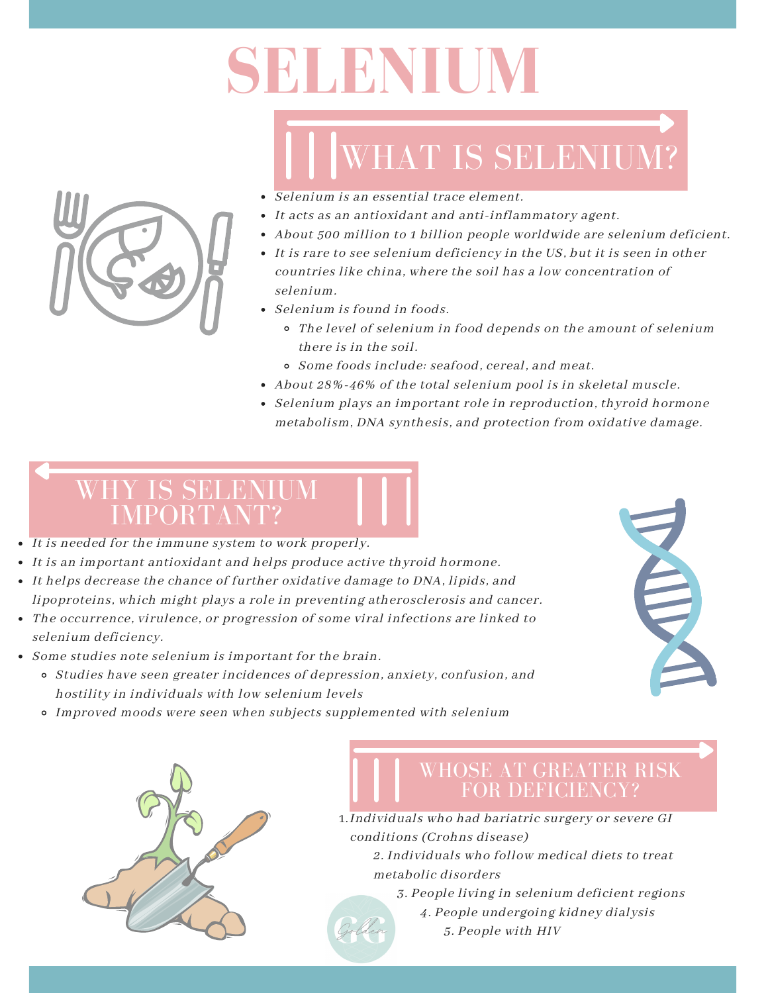# **SELENIUM**

## WHAT IS SELENIUM?

- Selenium is an essential trace element.
- It acts as an antioxidant and anti-inflammatory agent.
- About 500 million to 1 billion people worldwide are selenium deficient.
- It is rare to see selenium deficiency in the US, but it is seen in other countries like china, where the soil has a low concentration of selenium.
- Selenium is found in foods.
	- The level of selenium in food depends on the amount of selenium there is in the soil.
	- Some foods include: seafood, cereal, and meat.
- About 28%-46% of the total selenium pool is in skeletal muscle.
- Selenium plays an important role in reproduction, thyroid hormone metabolism, DNA synthesis, and protection from oxidative damage.

### WHY IS SELENIUM IMPORTANT?

- It is needed for the immune system to work properly.
- It is an important antioxidant and helps produce active thyroid hormone.
- It helps decrease the chance of further oxidative damage to DNA, lipids, and lipoproteins, which might plays a role in preventing atherosclerosis and cancer.
- The occurrence, virulence, or progression of some viral infections are linked to selenium deficiency.
- Some studies note selenium is important for the brain.
	- Studies have seen greater incidences of depression, anxiety, confusion, and hostility in individuals with low selenium levels
	- Improved moods were seen when subjects supplemented with selenium





#### WHOSE AT GREATER RISK FOR DEFICIENCY?

- Individuals who had bariatric surgery or severe GI 1. conditions (Crohns disease)
	- 2. Individuals who follow medical diets to treat metabolic disorders
		- 3. People living in selenium deficient regions
			- 4. People undergoing kidney dialysis 5. People with HIV